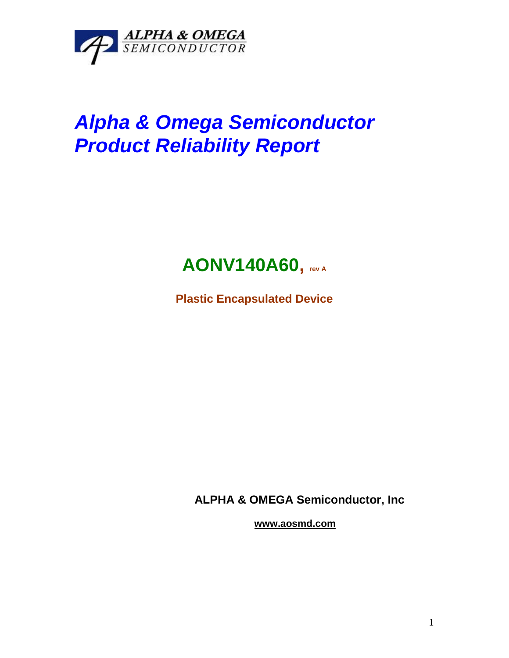

# *Alpha & Omega Semiconductor Product Reliability Report*

## **AONV140A60, rev <sup>A</sup>**

**Plastic Encapsulated Device**

**ALPHA & OMEGA Semiconductor, Inc**

**www.aosmd.com**